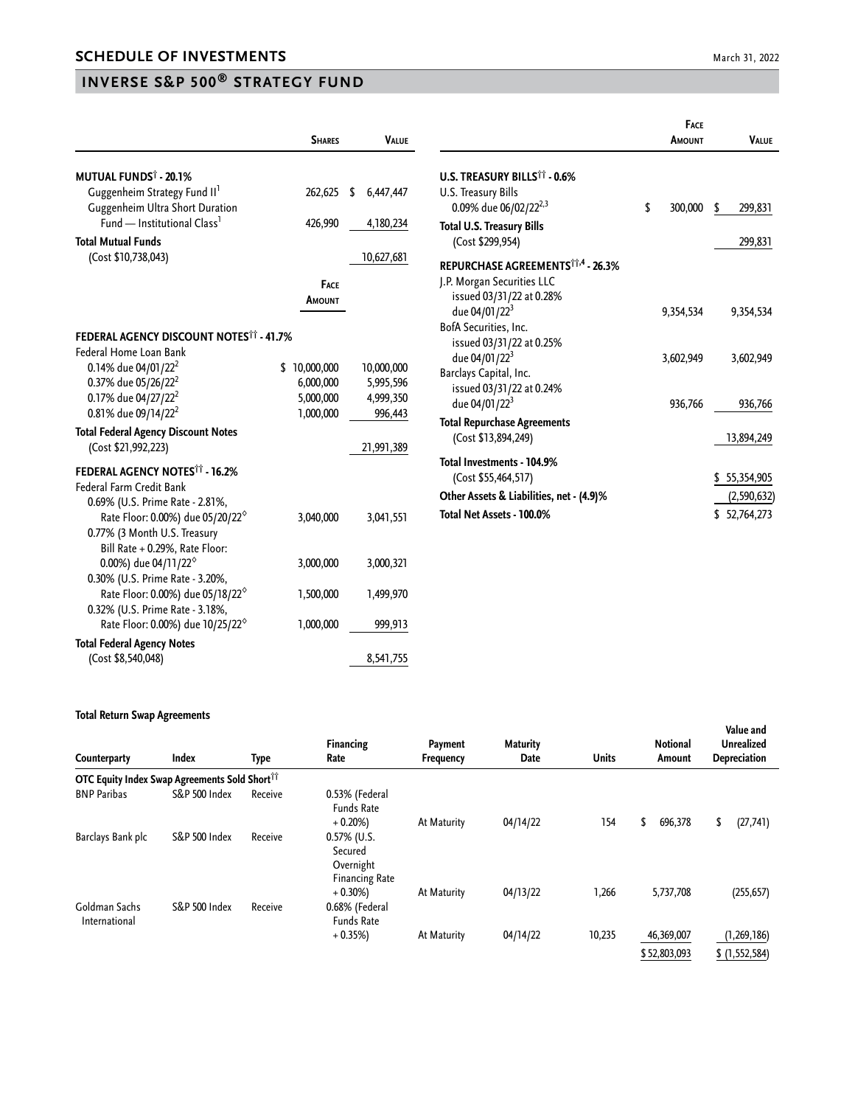## **INVERSE S&P 500® STRATEGY FUND**

|                                                                             | <b>SHARES</b>          | <b>VALUE</b>         |                                                          | FACE<br><b>AMOUNT</b> | <b>VALUE</b>  |
|-----------------------------------------------------------------------------|------------------------|----------------------|----------------------------------------------------------|-----------------------|---------------|
| <b>MUTUAL FUNDS<sup>†</sup> - 20.1%</b>                                     |                        |                      | U.S. TREASURY BILLS <sup>11</sup> - 0.6%                 |                       |               |
| Guggenheim Strategy Fund II <sup>1</sup><br>Guggenheim Ultra Short Duration | 262,625                | 6,447,447<br>-S      | U.S. Treasury Bills<br>0.09% due 06/02/22 <sup>2,3</sup> | \$<br>300,000         | \$<br>299,831 |
| Fund — Institutional Class <sup>1</sup>                                     | 426,990                | 4,180,234            |                                                          |                       |               |
| <b>Total Mutual Funds</b>                                                   |                        |                      | <b>Total U.S. Treasury Bills</b><br>(Cost \$299,954)     |                       | 299,831       |
| (Cost \$10,738,043)                                                         |                        | 10,627,681           |                                                          |                       |               |
|                                                                             |                        |                      | REPURCHASE AGREEMENTS <sup>11,4</sup> - 26.3%            |                       |               |
|                                                                             | <b>FACE</b>            |                      | J.P. Morgan Securities LLC                               |                       |               |
|                                                                             | AMOUNT                 |                      | issued 03/31/22 at 0.28%                                 |                       |               |
|                                                                             |                        |                      | due 04/01/22 <sup>3</sup>                                | 9,354,534             | 9,354,534     |
| <b>FEDERAL AGENCY DISCOUNT NOTES<sup>11</sup> - 41.7%</b>                   |                        |                      | BofA Securities, Inc.                                    |                       |               |
| Federal Home Loan Bank                                                      |                        |                      | issued 03/31/22 at 0.25%                                 |                       |               |
| 0.14% due 04/01/22 <sup>2</sup>                                             | \$10,000,000           |                      | due 04/01/22 <sup>3</sup>                                | 3,602,949             | 3,602,949     |
|                                                                             |                        | 10,000,000           | Barclays Capital, Inc.                                   |                       |               |
| 0.37% due 05/26/22 <sup>2</sup>                                             | 6,000,000              | 5,995,596            | issued 03/31/22 at 0.24%                                 |                       |               |
| 0.17% due 04/27/22 <sup>2</sup><br>0.81% due 09/14/22 <sup>2</sup>          | 5,000,000<br>1,000,000 | 4,999,350<br>996,443 | due 04/01/22 <sup>3</sup>                                | 936,766               | 936,766       |
|                                                                             |                        |                      | <b>Total Repurchase Agreements</b>                       |                       |               |
| <b>Total Federal Agency Discount Notes</b>                                  |                        |                      | (Cost \$13,894,249)                                      |                       | 13,894,249    |
| (Cost \$21,992,223)                                                         |                        | 21,991,389           |                                                          |                       |               |
| <b>FEDERAL AGENCY NOTES<sup>11</sup> - 16.2%</b>                            |                        |                      | Total Investments - 104.9%                               |                       |               |
| <b>Federal Farm Credit Bank</b>                                             |                        |                      | (Cost \$55,464,517)                                      |                       | \$55,354,905  |
| 0.69% (U.S. Prime Rate - 2.81%,                                             |                        |                      | Other Assets & Liabilities, net - (4.9)%                 |                       | (2,590,632)   |
| Rate Floor: 0.00%) due 05/20/22 <sup>6</sup>                                | 3,040,000              | 3,041,551            | Total Net Assets - 100.0%                                |                       | \$52,764,273  |
| 0.77% (3 Month U.S. Treasury                                                |                        |                      |                                                          |                       |               |
| Bill Rate + 0.29%, Rate Floor:                                              |                        |                      |                                                          |                       |               |
| 0.00%) due 04/11/22 <sup>°</sup>                                            | 3,000,000              | 3,000,321            |                                                          |                       |               |
| 0.30% (U.S. Prime Rate - 3.20%,                                             |                        |                      |                                                          |                       |               |
| Rate Floor: 0.00%) due 05/18/22 <sup>6</sup>                                | 1,500,000              | 1,499,970            |                                                          |                       |               |
| 0.32% (U.S. Prime Rate - 3.18%,                                             |                        |                      |                                                          |                       |               |
| Rate Floor: 0.00%) due 10/25/22 <sup>°</sup>                                | 1,000,000              | 999,913              |                                                          |                       |               |

## **Total Return Swap Agreements**

**Total Federal Agency Notes**

(Cost \$8,540,048) 8,541,755

| Counterparty                                  | Index                    | Type    | <b>Financing</b><br>Rate                                        | Payment<br>Frequency | <b>Maturity</b><br>Date | <b>Units</b> | <b>Notional</b><br>Amount  | Value and<br><b>Unrealized</b><br>Depreciation |
|-----------------------------------------------|--------------------------|---------|-----------------------------------------------------------------|----------------------|-------------------------|--------------|----------------------------|------------------------------------------------|
| OTC Equity Index Swap Agreements Sold Shortii |                          |         |                                                                 |                      |                         |              |                            |                                                |
| <b>BNP Paribas</b>                            | S&P 500 Index            | Receive | 0.53% (Federal<br><b>Funds Rate</b><br>$+0.20%$                 | At Maturity          | 04/14/22                | 154          | \$<br>696,378              | \$<br>(27, 741)                                |
| Barclays Bank plc                             | <b>S&amp;P 500 Index</b> | Receive | $0.57\%$ (U.S.<br>Secured<br>Overnight<br><b>Financing Rate</b> |                      |                         |              |                            |                                                |
| Goldman Sachs<br>International                | <b>S&amp;P 500 Index</b> | Receive | $+0.30\%$<br>0.68% (Federal<br><b>Funds Rate</b>                | At Maturity          | 04/13/22                | 1,266        | 5,737,708                  | (255, 657)                                     |
|                                               |                          |         | $+0.35%$                                                        | At Maturity          | 04/14/22                | 10,235       | 46,369,007<br>\$52,803,093 | (1, 269, 186)<br>\$(1,552,584)                 |